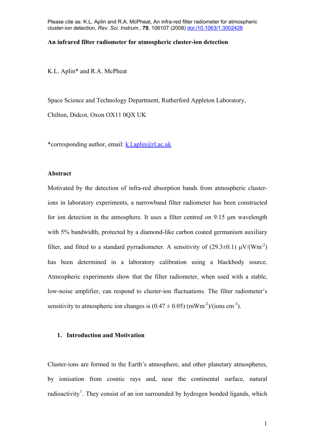### **An infrared filter radiometer for atmospheric cluster-ion detection**

K.L. Aplin\* and R.A. McPheat

Space Science and Technology Department, Rutherford Appleton Laboratory,

Chilton, Didcot, Oxon OX11 0QX UK

\*corresponding author, email: [k.l.aplin@rl.ac.uk](mailto:k.l.aplin@rl.ac.uk)

## **Abstract**

Motivated by the detection of infra-red absorption bands from atmospheric clusterions in laboratory experiments, a narrowband filter radiometer has been constructed for ion detection in the atmosphere. It uses a filter centred on 9.15 μm wavelength with 5% bandwidth, protected by a diamond-like carbon coated germanium auxiliary filter, and fitted to a standard pyrradiometer. A sensitivity of (29.3 $\pm$ 0.1)  $\mu$ V/(Wm<sup>-2</sup>) has been determined in a laboratory calibration using a blackbody source. Atmospheric experiments show that the filter radiometer, when used with a stable, low-noise amplifier, can respond to cluster-ion fluctuations. The filter radiometer's sensitivity to atmospheric ion changes is  $(0.47 \pm 0.05)$  (mWm<sup>-2</sup>)/(ions cm<sup>-3</sup>).

# **1. Introduction and Motivation**

<span id="page-0-0"></span>Cluster-ions are formed in the Earth's atmosphere, and other planetary atmospheres, by ionisation from cosmic rays and, near the continental surface, natural radioactivity<sup>[1](#page-7-0)</sup>. They consist of an ion surrounded by hydrogen bonded ligands, which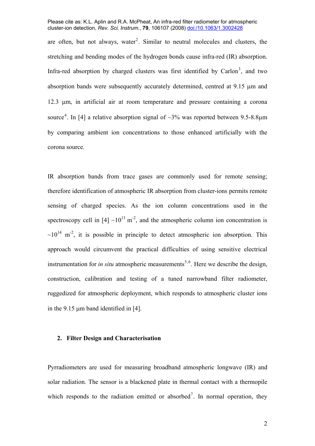<span id="page-1-0"></span>are often, but not always, water<sup>[2](#page-7-1)</sup>. Similar to neutral molecules and clusters, the stretching and bending modes of the hydrogen bonds cause infra-red (IR) absorption. Infra-red absorption by charged clusters was first identified by Carlon<sup>[3](#page-7-1)</sup>, and two absorption bands were subsequently accurately determined, centred at 9.15 um and 12.3 μm, in artificial air at room temperature and pressure containing a corona source<sup>[4](#page-7-1)</sup>. In [[4\]](#page-1-0) a relative absorption signal of  $\sim$ 3% was reported between 9.5-8.8 $\mu$ m by comparing ambient ion concentrations to those enhanced artificially with the corona source.

IR absorption bands from trace gases are commonly used for remote sensing; therefore identification of atmospheric IR absorption from cluster-ions permits remote sensing of charged species. As the ion column concentrations used in the spectroscopy cell in  $[4] \sim 10^{13}$  $[4] \sim 10^{13}$  m<sup>-2</sup>, and the atmospheric column ion concentration is  $\sim 10^{14}$  m<sup>-2</sup>, it is possible in principle to detect atmospheric ion absorption. This approach would circumvent the practical difficulties of using sensitive electrical instrumentation for *in situ* atmospheric measurements<sup>[5](#page-7-1),[6](#page-7-1)</sup>. Here we describe the design, construction, calibration and testing of a tuned narrowband filter radiometer, ruggedized for atmospheric deployment, which responds to atmospheric cluster ions in the 9.15 μm band identified in [[4\]](#page-1-0).

### <span id="page-1-1"></span>**2. Filter Design and Characterisation**

Pyrradiometers are used for measuring broadband atmospheric longwave (IR) and solar radiation. The sensor is a blackened plate in thermal contact with a thermopile which responds to the radiation emitted or absorbed<sup>[7](#page-7-1)</sup>. In normal operation, they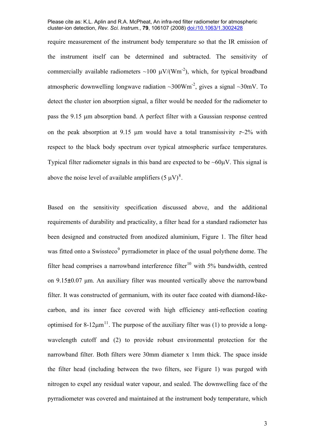require measurement of the instrument body temperature so that the IR emission of the instrument itself can be determined and subtracted. The sensitivity of commercially available radiometers ~100  $\mu$ V/(Wm<sup>-2</sup>), which, for typical broadband atmospheric downwelling longwave radiation  $\sim 300 \text{Wm}^2$ , gives a signal  $\sim 30 \text{mV}$ . To detect the cluster ion absorption signal, a filter would be needed for the radiometer to pass the 9.15 μm absorption band. A perfect filter with a Gaussian response centred on the peak absorption at 9.15 μm would have a total transmissivity  $\tau \sim 2\%$  with respect to the black body spectrum over typical atmospheric surface temperatures. Typical filter radiometer signals in this band are expected to be  $\sim 60 \mu V$ . This signal is above the noise level of available amplifiers  $(5 \mu V)^8$  $(5 \mu V)^8$ .

<span id="page-2-2"></span><span id="page-2-1"></span><span id="page-2-0"></span>Based on the sensitivity specification discussed above, and the additional requirements of durability and practicality, a filter head for a standard radiometer has been designed and constructed from anodized aluminium, [Figure 1.](#page-6-0) The filter head was fitted onto a Swissteco<sup>[9](#page-7-1)</sup> pyrradiometer in place of the usual polythene dome. The filter head comprises a narrowband interference filter<sup>[10](#page-7-1)</sup> with 5% bandwidth, centred on 9.15±0.07 μm. An auxiliary filter was mounted vertically above the narrowband filter. It was constructed of germanium, with its outer face coated with diamond-likecarbon, and its inner face covered with high efficiency anti-reflection coating optimised for 8-12 $\mu$ m<sup>[11](#page-7-1)</sup>. The purpose of the auxiliary filter was (1) to provide a longwavelength cutoff and (2) to provide robust environmental protection for the narrowband filter. Both filters were 30mm diameter x 1mm thick. The space inside the filter head (including between the two filters, see [Figure 1\)](#page-6-0) was purged with nitrogen to expel any residual water vapour, and sealed. The downwelling face of the pyrradiometer was covered and maintained at the instrument body temperature, which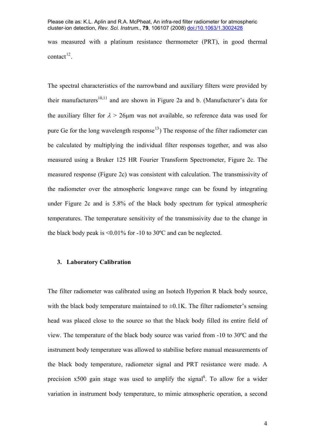was measured with a platinum resistance thermometer (PRT), in good thermal contact $^{12}$  $^{12}$  $^{12}$ .

<span id="page-3-0"></span>The spectral characteristics of the narrowband and auxiliary filters were provided by their manufacturers<sup>10[,11](#page-2-1)</sup> and are shown in [Figure 2a](#page-6-1) and b. (Manufacturer's data for the auxiliary filter for  $\lambda > 26$ μm was not available, so reference data was used for pure Ge for the long wavelength response<sup>[13](#page-7-1)</sup>) The response of the filter radiometer can be calculated by multiplying the individual filter responses together, and was also measured using a Bruker 125 HR Fourier Transform Spectrometer, [Figure 2c](#page-6-1). The measured response [\(Figure 2](#page-6-1)c) was consistent with calculation. The transmissivity of the radiometer over the atmospheric longwave range can be found by integrating under [Figure 2c](#page-6-1) and is 5.8% of the black body spectrum for typical atmospheric temperatures. The temperature sensitivity of the transmissivity due to the change in the black body peak is <0.01% for -10 to 30ºC and can be neglected.

## **3. Laboratory Calibration**

The filter radiometer was calibrated using an Isotech Hyperion R black body source, with the black body temperature maintained to  $\pm 0.1$ K. The filter radiometer's sensing head was placed close to the source so that the black body filled its entire field of view. The temperature of the black body source was varied from -10 to 30ºC and the instrument body temperature was allowed to stabilise before manual measurements of the black body temperature, radiometer signal and PRT resistance were made. A precision  $x500$  gain stage was used to amplify the signal<sup>[8](#page-2-2)</sup>. To allow for a wider variation in instrument body temperature, to mimic atmospheric operation, a second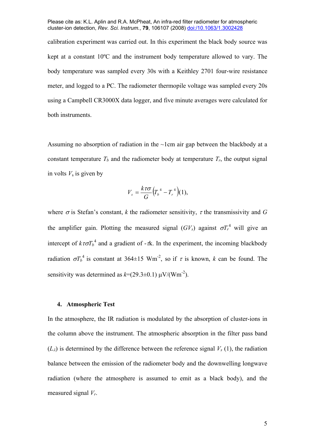calibration experiment was carried out. In this experiment the black body source was kept at a constant 10ºC and the instrument body temperature allowed to vary. The body temperature was sampled every 30s with a Keithley 2701 four-wire resistance meter, and logged to a PC. The radiometer thermopile voltage was sampled every 20s using a Campbell CR3000X data logger, and five minute averages were calculated for both instruments.

Assuming no absorption of radiation in the  $\sim$ 1cm air gap between the blackbody at a constant temperature  $T_b$  and the radiometer body at temperature  $T_r$ , the output signal in volts  $V<sub>s</sub>$  is given by

$$
V_s = \frac{k\tau\sigma}{G}\Big(T_b^4 - T_r^4\Big)(1),
$$

where  $\sigma$  is Stefan's constant, *k* the radiometer sensitivity,  $\tau$  the transmissivity and *G* the amplifier gain. Plotting the measured signal  $(GV_s)$  against  $\sigma T_r^4$  will give an intercept of  $k\tau \sigma T_b^4$  and a gradient of - $\tau$ k. In the experiment, the incoming blackbody radiation  $\sigma T_b^4$  is constant at 364 $\pm$ 15 Wm<sup>-2</sup>, so if  $\tau$  is known, *k* can be found. The sensitivity was determined as  $k=(29.3\pm0.1) \mu V/(Wm^{-2})$ .

## **4. Atmospheric Test**

In the atmosphere, the IR radiation is modulated by the absorption of cluster-ions in the column above the instrument. The atmospheric absorption in the filter pass band  $(L_{\lambda})$  is determined by the difference between the reference signal  $V_s(1)$ , the radiation balance between the emission of the radiometer body and the downwelling longwave radiation (where the atmosphere is assumed to emit as a black body), and the measured signal *Vr*.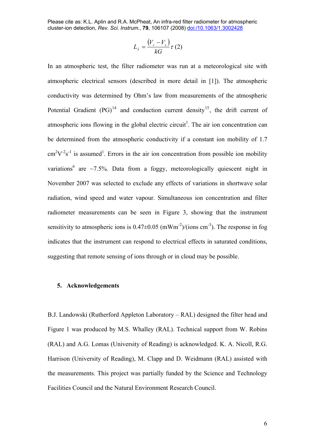$$
L_{\lambda} = \frac{(V_r - V_s)}{kG} \tau (2)
$$

In an atmospheric test, the filter radiometer was run at a meteorological site with atmospheric electrical sensors (described in more detail in [\[1](#page-0-0)]). The atmospheric conductivity was determined by Ohm's law from measurements of the atmospheric Potential Gradient  $(PG)^{14}$  $(PG)^{14}$  $(PG)^{14}$  and conduction current density<sup>15</sup>, the drift current of atmospheric ions flowing in the global electric circuit<sup>1</sup>. The air ion concentration can be determined from the atmospheric conductivity if a constant ion mobility of 1.7  $\text{cm}^2\text{V}^2\text{s}^{-1}$  $\text{cm}^2\text{V}^2\text{s}^{-1}$  $\text{cm}^2\text{V}^2\text{s}^{-1}$  is assumed<sup>1</sup>. Errors in the air ion concentration from possible ion mobility variations<sup>6</sup> are ~7.5%. Data from a foggy, meteorologically quiescent night in November 2007 was selected to exclude any effects of variations in shortwave solar radiation, wind speed and water vapour. Simultaneous ion concentration and filter radiometer measurements can be seen in [Figure 3,](#page-6-2) showing that the instrument sensitivity to atmospheric ions is  $0.47 \pm 0.05$  (mWm<sup>-2</sup>)/(ions cm<sup>-3</sup>). The response in fog indicates that the instrument can respond to electrical effects in saturated conditions, suggesting that remote sensing of ions through or in cloud may be possible.

### **5. Acknowledgements**

B.J. Landowski (Rutherford Appleton Laboratory – RAL) designed the filter head and Figure 1 was produced by M.S. Whalley (RAL). Technical support from W. Robins (RAL) and A.G. Lomas (University of Reading) is acknowledged. K. A. Nicoll, R.G. Harrison (University of Reading), M. Clapp and D. Weidmann (RAL) assisted with the measurements. This project was partially funded by the Science and Technology Facilities Council and the Natural Environment Research Council.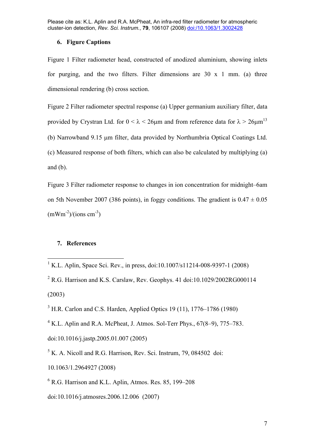# **6. Figure Captions**

<span id="page-6-0"></span>Figure 1 Filter radiometer head, constructed of anodized aluminium, showing inlets for purging, and the two filters. Filter dimensions are  $30 \times 1$  mm. (a) three dimensional rendering (b) cross section.

<span id="page-6-1"></span>Figure 2 Filter radiometer spectral response (a) Upper germanium auxiliary filter, data provided by Crystran Ltd. for  $0 < \lambda < 26\mu$ m and from reference data for  $\lambda > 26\mu m^{13}$ (b) Narrowband 9.15 μm filter, data provided by Northumbria Optical Coatings Ltd. (c) Measured response of both filters, which can also be calculated by multiplying (a) and (b).

<span id="page-6-2"></span>Figure 3 Filter radiometer response to changes in ion concentration for midnight–6am on 5th November 2007 (386 points), in foggy conditions. The gradient is  $0.47 \pm 0.05$  $\text{(mWm}^{-2})/\text{(ions cm}^{-3})$ 

# **7. References**

 $2$  R.G. Harrison and K.S. Carslaw, Rev. Geophys. 41 doi:10.1029/2002RG000114 (2003)

 $3$  H.R. Carlon and C.S. Harden, Applied Optics 19 (11), 1776–1786 (1980)

 $4$  K.L. Aplin and R.A. McPheat, J. Atmos. Sol-Terr Phys.,  $67(8-9)$ ,  $775-783$ .

doi:10.1016/j.jastp.2005.01.007 (2005)

 $<sup>5</sup>$  K. A. Nicoll and R.G. Harrison, Rev. Sci. Instrum, 79, 084502 doi:</sup>

10.1063/1.2964927 (2008)

6 R.G. Harrison and K.L. Aplin, Atmos. Res. 85, 199–208

doi:10.1016/j.atmosres.2006.12.006 (2007)

 1 K.L. Aplin, Space Sci. Rev., in press, doi:10.1007/s11214-008-9397-1 (2008)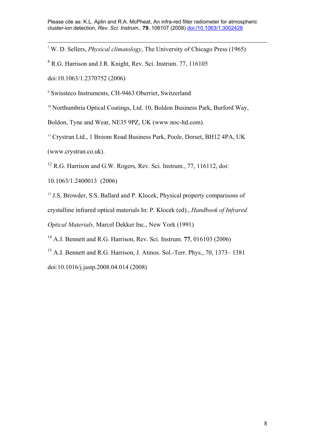<span id="page-7-1"></span>7 W. D. Sellers, *Physical climatology*, The University of Chicago Press (1965)

<sup>8</sup> R.G. Harrison and J.R. Knight, Rev. Sci. Instrum. 77, 116105

doi:10.1063/1.2370752 (2006)

9 Swissteco Instruments, CH-9463 Oberriet, Switzerland

<sup>10</sup> Northumbria Optical Coatings, Ltd. 10, Boldon Business Park, Burford Way,

Boldon, Tyne and Wear, NE35 9PZ, UK (www.noc-ltd.com).

<sup>11</sup> Crystran Ltd., 1 Broom Road Business Park, Poole, Dorset, BH12 4PA, UK (www.crystran.co.uk).

 $12$  R.G. Harrison and G.W. Rogers, Rev. Sci. Instrum., 77, 116112, doi:

10.1063/1.2400013 (2006)

<sup>13</sup> J.S. Browder, S.S. Ballard and P. Klocek, Physical property comparisons of crystalline infrared optical materials In: P. Klocek (ed)., *Handbook of Infrared Optical Materials,* Marcel Dekker Inc., New York (1991)

14 A.J. Bennett and R.G. Harrison, Rev. Sci. Instrum. **77**, 016103 (2006)

<span id="page-7-0"></span> $15$  A.J. Bennett and R.G. Harrison, J. Atmos. Sol.-Terr. Phys., 70, 1373–1381 doi:10.1016/j.jastp.2008.04.014 (2008)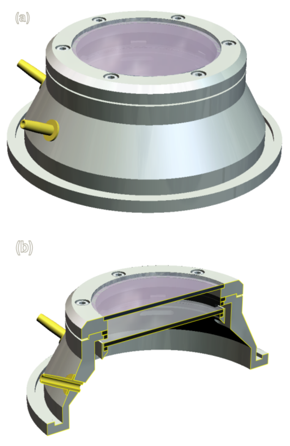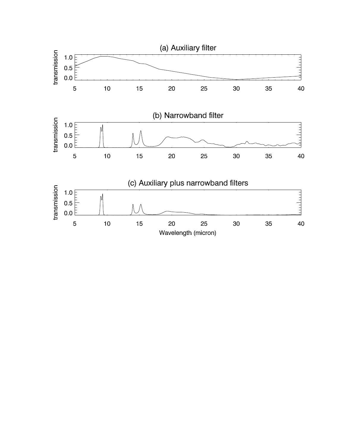